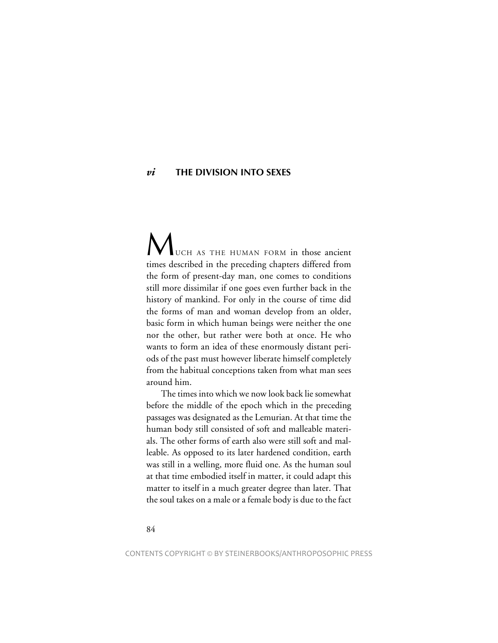## *vi* **THE DIVISION INTO SEXES**

CH AS THE HUMAN FORM in those ancient times described in the preceding chapters differed from the form of present-day man, one comes to conditions still more dissimilar if one goes even further back in the history of mankind. For only in the course of time did the forms of man and woman develop from an older, basic form in which human beings were neither the one nor the other, but rather were both at once. He who wants to form an idea of these enormously distant periods of the past must however liberate himself completely from the habitual conceptions taken from what man sees around him.

The times into which we now look back lie somewhat before the middle of the epoch which in the preceding passages was designated as the Lemurian. At that time the human body still consisted of soft and malleable materials. The other forms of earth also were still soft and malleable. As opposed to its later hardened condition, earth was still in a welling, more fluid one. As the human soul at that time embodied itself in matter, it could adapt this matter to itself in a much greater degree than later. That the soul takes on a male or a female body is due to the fact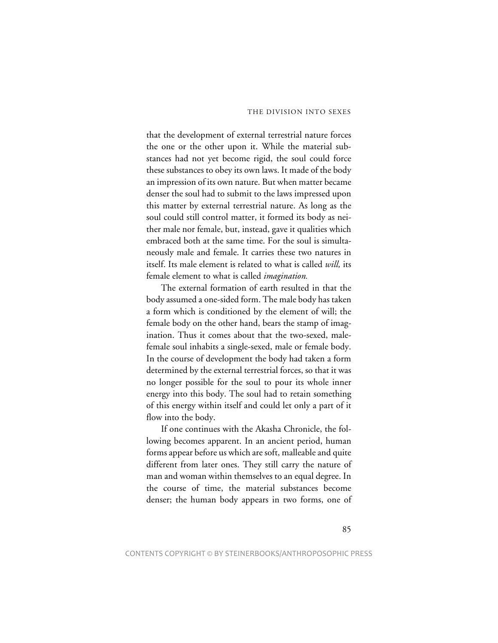that the development of external terrestrial nature forces the one or the other upon it. While the material substances had not yet become rigid, the soul could force these substances to obey its own laws. It made of the body an impression of its own nature. But when matter became denser the soul had to submit to the laws impressed upon this matter by external terrestrial nature. As long as the soul could still control matter, it formed its body as neither male nor female, but, instead, gave it qualities which embraced both at the same time. For the soul is simultaneously male and female. It carries these two natures in itself. Its male element is related to what is called *will,* its female element to what is called *imagination.*

The external formation of earth resulted in that the body assumed a one-sided form. The male body has taken a form which is conditioned by the element of will; the female body on the other hand, bears the stamp of imagination. Thus it comes about that the two-sexed, malefemale soul inhabits a single-sexed, male or female body. In the course of development the body had taken a form determined by the external terrestrial forces, so that it was no longer possible for the soul to pour its whole inner energy into this body. The soul had to retain something of this energy within itself and could let only a part of it flow into the body.

If one continues with the Akasha Chronicle, the following becomes apparent. In an ancient period, human forms appear before us which are soft, malleable and quite different from later ones. They still carry the nature of man and woman within themselves to an equal degree. In the course of time, the material substances become denser; the human body appears in two forms, one of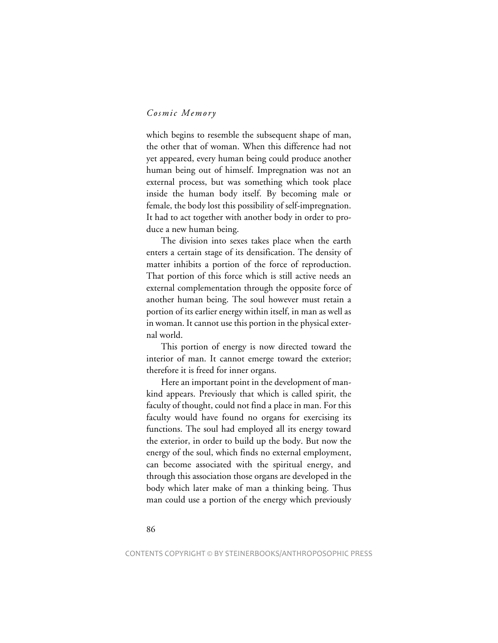which begins to resemble the subsequent shape of man, the other that of woman. When this difference had not yet appeared, every human being could produce another human being out of himself. Impregnation was not an external process, but was something which took place inside the human body itself. By becoming male or female, the body lost this possibility of self-impregnation. It had to act together with another body in order to produce a new human being.

The division into sexes takes place when the earth enters a certain stage of its densification. The density of matter inhibits a portion of the force of reproduction. That portion of this force which is still active needs an external complementation through the opposite force of another human being. The soul however must retain a portion of its earlier energy within itself, in man as well as in woman. It cannot use this portion in the physical external world.

This portion of energy is now directed toward the interior of man. It cannot emerge toward the exterior; therefore it is freed for inner organs.

Here an important point in the development of mankind appears. Previously that which is called spirit, the faculty of thought, could not find a place in man. For this faculty would have found no organs for exercising its functions. The soul had employed all its energy toward the exterior, in order to build up the body. But now the energy of the soul, which finds no external employment, can become associated with the spiritual energy, and through this association those organs are developed in the body which later make of man a thinking being. Thus man could use a portion of the energy which previously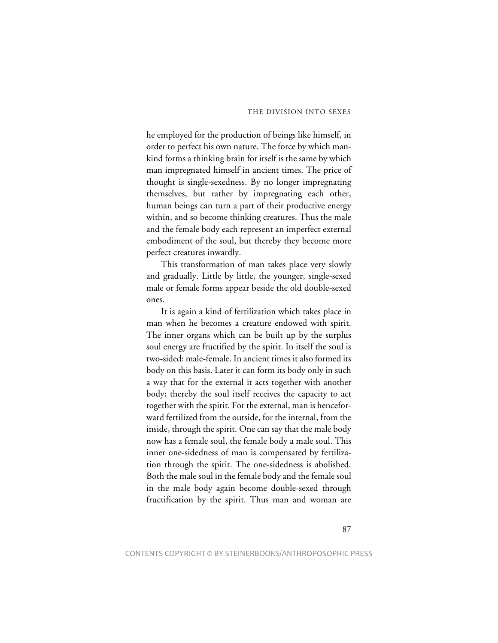he employed for the production of beings like himself, in order to perfect his own nature. The force by which mankind forms a thinking brain for itself is the same by which man impregnated himself in ancient times. The price of thought is single-sexedness. By no longer impregnating themselves, but rather by impregnating each other, human beings can turn a part of their productive energy within, and so become thinking creatures. Thus the male and the female body each represent an imperfect external embodiment of the soul, but thereby they become more perfect creatures inwardly.

This transformation of man takes place very slowly and gradually. Little by little, the younger, single-sexed male or female forms appear beside the old double-sexed ones.

It is again a kind of fertilization which takes place in man when he becomes a creature endowed with spirit. The inner organs which can be built up by the surplus soul energy are fructified by the spirit. In itself the soul is two-sided: male-female. In ancient times it also formed its body on this basis. Later it can form its body only in such a way that for the external it acts together with another body; thereby the soul itself receives the capacity to act together with the spirit. For the external, man is henceforward fertilized from the outside, for the internal, from the inside, through the spirit. One can say that the male body now has a female soul, the female body a male soul. This inner one-sidedness of man is compensated by fertilization through the spirit. The one-sidedness is abolished. Both the male soul in the female body and the female soul in the male body again become double-sexed through fructification by the spirit. Thus man and woman are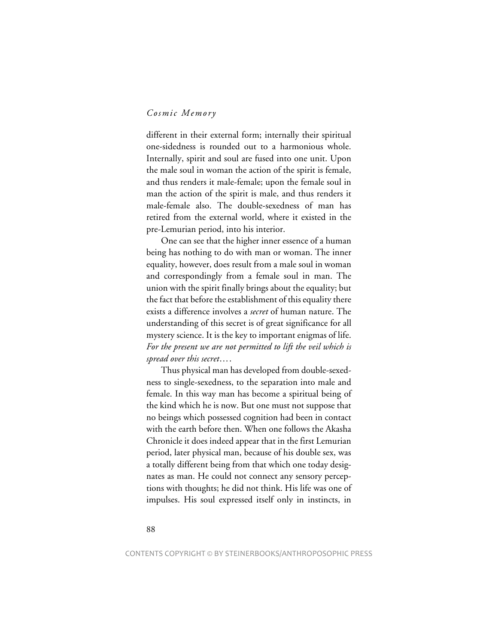different in their external form; internally their spiritual one-sidedness is rounded out to a harmonious whole. Internally, spirit and soul are fused into one unit. Upon the male soul in woman the action of the spirit is female, and thus renders it male-female; upon the female soul in man the action of the spirit is male, and thus renders it male-female also. The double-sexedness of man has retired from the external world, where it existed in the pre-Lemurian period, into his interior.

One can see that the higher inner essence of a human being has nothing to do with man or woman. The inner equality, however, does result from a male soul in woman and correspondingly from a female soul in man. The union with the spirit finally brings about the equality; but the fact that before the establishment of this equality there exists a difference involves a *secret* of human nature. The understanding of this secret is of great significance for all mystery science. It is the key to important enigmas of life. *For the present we are not permitted to lift the veil which is spread over this secret*….

Thus physical man has developed from double-sexedness to single-sexedness, to the separation into male and female. In this way man has become a spiritual being of the kind which he is now. But one must not suppose that no beings which possessed cognition had been in contact with the earth before then. When one follows the Akasha Chronicle it does indeed appear that in the first Lemurian period, later physical man, because of his double sex, was a totally different being from that which one today designates as man. He could not connect any sensory perceptions with thoughts; he did not think. His life was one of impulses. His soul expressed itself only in instincts, in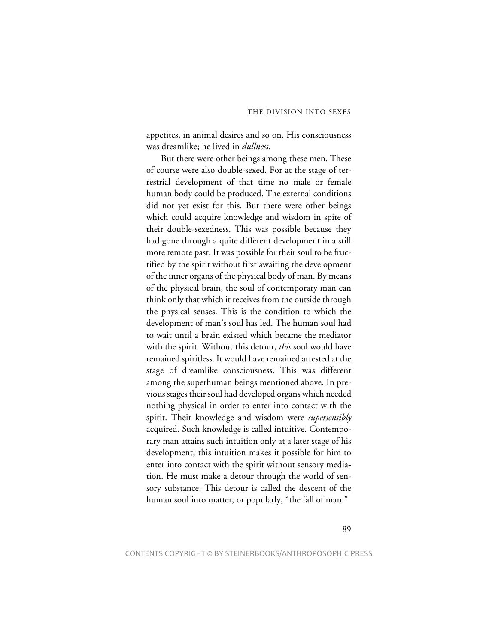appetites, in animal desires and so on. His consciousness was dreamlike; he lived in *dullness.*

But there were other beings among these men. These of course were also double-sexed. For at the stage of terrestrial development of that time no male or female human body could be produced. The external conditions did not yet exist for this. But there were other beings which could acquire knowledge and wisdom in spite of their double-sexedness. This was possible because they had gone through a quite different development in a still more remote past. It was possible for their soul to be fructified by the spirit without first awaiting the development of the inner organs of the physical body of man. By means of the physical brain, the soul of contemporary man can think only that which it receives from the outside through the physical senses. This is the condition to which the development of man's soul has led. The human soul had to wait until a brain existed which became the mediator with the spirit. Without this detour, *this* soul would have remained spiritless. It would have remained arrested at the stage of dreamlike consciousness. This was different among the superhuman beings mentioned above. In previous stages their soul had developed organs which needed nothing physical in order to enter into contact with the spirit. Their knowledge and wisdom were *supersensibly* acquired. Such knowledge is called intuitive. Contemporary man attains such intuition only at a later stage of his development; this intuition makes it possible for him to enter into contact with the spirit without sensory mediation. He must make a detour through the world of sensory substance. This detour is called the descent of the human soul into matter, or popularly, "the fall of man."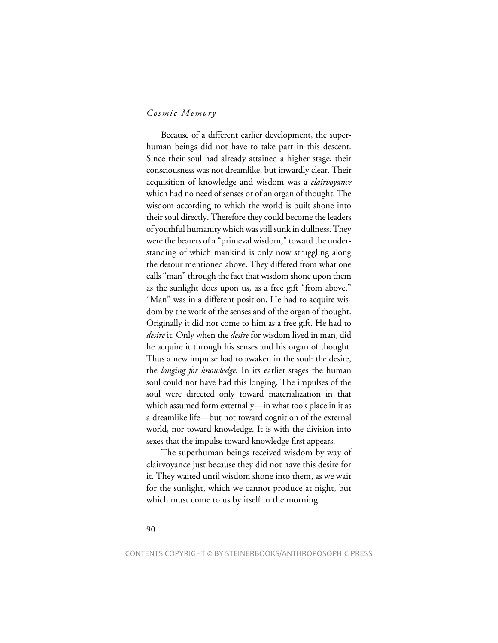Because of a different earlier development, the superhuman beings did not have to take part in this descent. Since their soul had already attained a higher stage, their consciousness was not dreamlike, but inwardly clear. Their acquisition of knowledge and wisdom was a *clairvoyance* which had no need of senses or of an organ of thought. The wisdom according to which the world is built shone into their soul directly. Therefore they could become the leaders of youthful humanity which was still sunk in dullness. They were the bearers of a "primeval wisdom," toward the understanding of which mankind is only now struggling along the detour mentioned above. They differed from what one calls "man" through the fact that wisdom shone upon them as the sunlight does upon us, as a free gift "from above." "Man" was in a different position. He had to acquire wisdom by the work of the senses and of the organ of thought. Originally it did not come to him as a free gift. He had to *desire* it. Only when the *desire* for wisdom lived in man, did he acquire it through his senses and his organ of thought. Thus a new impulse had to awaken in the soul: the desire, the *longing for knowledge.* In its earlier stages the human soul could not have had this longing. The impulses of the soul were directed only toward materialization in that which assumed form externally—in what took place in it as a dreamlike life—but not toward cognition of the external world, nor toward knowledge. It is with the division into sexes that the impulse toward knowledge first appears.

The superhuman beings received wisdom by way of clairvoyance just because they did not have this desire for it. They waited until wisdom shone into them, as we wait for the sunlight, which we cannot produce at night, but which must come to us by itself in the morning.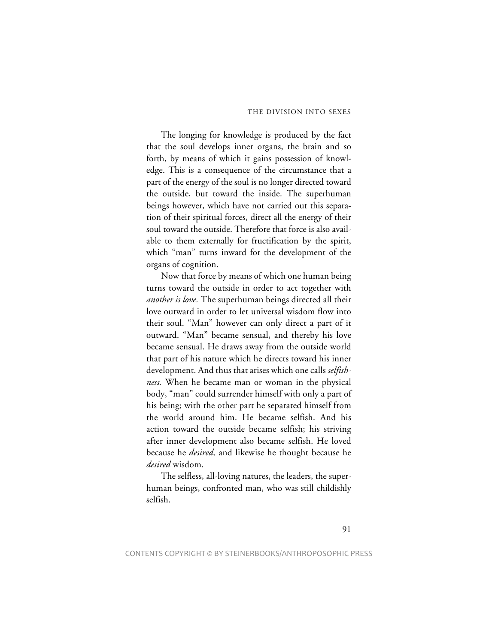The longing for knowledge is produced by the fact that the soul develops inner organs, the brain and so forth, by means of which it gains possession of knowledge. This is a consequence of the circumstance that a part of the energy of the soul is no longer directed toward the outside, but toward the inside. The superhuman beings however, which have not carried out this separation of their spiritual forces, direct all the energy of their soul toward the outside. Therefore that force is also available to them externally for fructification by the spirit, which "man" turns inward for the development of the organs of cognition.

Now that force by means of which one human being turns toward the outside in order to act together with *another is love.* The superhuman beings directed all their love outward in order to let universal wisdom flow into their soul. "Man" however can only direct a part of it outward. "Man" became sensual, and thereby his love became sensual. He draws away from the outside world that part of his nature which he directs toward his inner development. And thus that arises which one calls *selfishness.* When he became man or woman in the physical body, "man" could surrender himself with only a part of his being; with the other part he separated himself from the world around him. He became selfish. And his action toward the outside became selfish; his striving after inner development also became selfish. He loved because he *desired,* and likewise he thought because he *desired* wisdom.

The selfless, all-loving natures, the leaders, the superhuman beings, confronted man, who was still childishly selfish.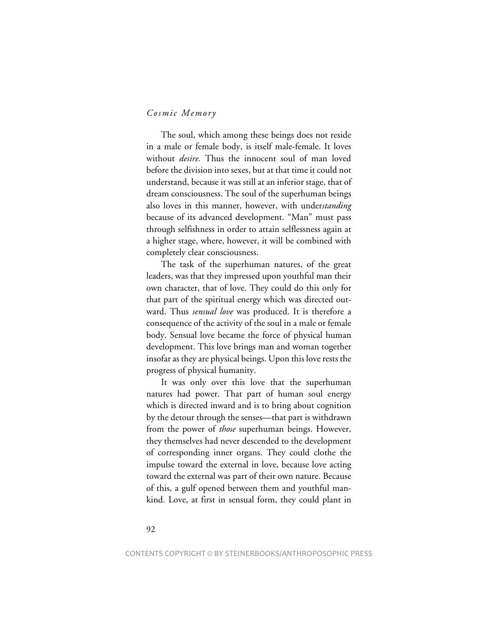The soul, which among these beings does not reside in a male or female body, is itself male-female. It loves without *desire.* Thus the innocent soul of man loved before the division into sexes, but at that time it could not understand, because it was still at an inferior stage, that of dream consciousness. The soul of the superhuman beings also loves in this manner, however, with under*standing* because of its advanced development. "Man" must pass through selfishness in order to attain selflessness again at a higher stage, where, however, it will be combined with completely clear consciousness.

The task of the superhuman natures, of the great leaders, was that they impressed upon youthful man their own character, that of love. They could do this only for that part of the spiritual energy which was directed outward. Thus *sensual love* was produced. It is therefore a consequence of the activity of the soul in a male or female body. Sensual love became the force of physical human development. This love brings man and woman together insofar as they are physical beings. Upon this love rests the progress of physical humanity.

It was only over this love that the superhuman natures had power. That part of human soul energy which is directed inward and is to bring about cognition by the detour through the senses—that part is withdrawn from the power of *those* superhuman beings. However, they themselves had never descended to the development of corresponding inner organs. They could clothe the impulse toward the external in love, because love acting toward the external was part of their own nature. Because of this, a gulf opened between them and youthful mankind. Love, at first in sensual form, they could plant in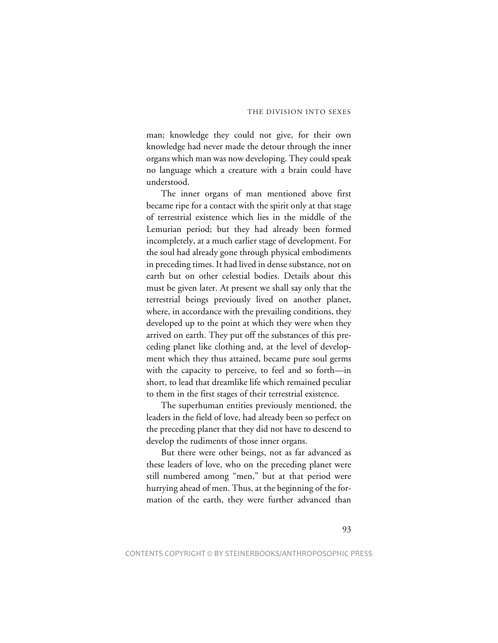man; knowledge they could not give, for their own knowledge had never made the detour through the inner organs which man was now developing. They could speak no language which a creature with a brain could have understood.

The inner organs of man mentioned above first became ripe for a contact with the spirit only at that stage of terrestrial existence which lies in the middle of the Lemurian period; but they had already been formed incompletely, at a much earlier stage of development. For the soul had already gone through physical embodiments in preceding times. It had lived in dense substance, not on earth but on other celestial bodies. Details about this must be given later. At present we shall say only that the terrestrial beings previously lived on another planet, where, in accordance with the prevailing conditions, they developed up to the point at which they were when they arrived on earth. They put off the substances of this preceding planet like clothing and, at the level of development which they thus attained, became pure soul germs with the capacity to perceive, to feel and so forth—in short, to lead that dreamlike life which remained peculiar to them in the first stages of their terrestrial existence.

The superhuman entities previously mentioned, the leaders in the field of love, had already been so perfect on the preceding planet that they did not have to descend to develop the rudiments of those inner organs.

But there were other beings, not as far advanced as these leaders of love, who on the preceding planet were still numbered among "men," but at that period were hurrying ahead of men. Thus, at the beginning of the formation of the earth, they were further advanced than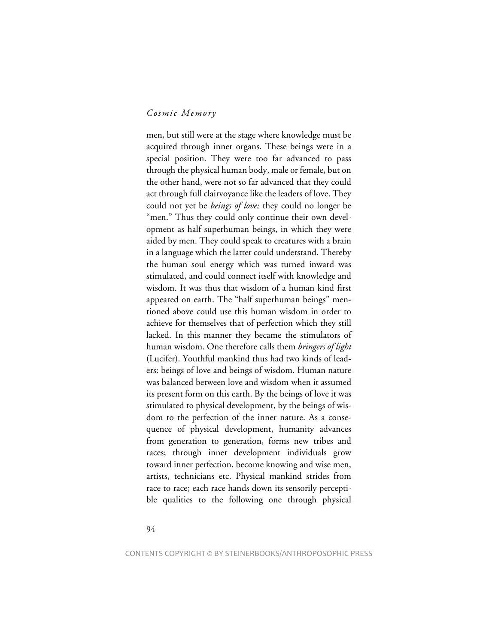men, but still were at the stage where knowledge must be acquired through inner organs. These beings were in a special position. They were too far advanced to pass through the physical human body, male or female, but on the other hand, were not so far advanced that they could act through full clairvoyance like the leaders of love. They could not yet be *beings of love;* they could no longer be "men." Thus they could only continue their own development as half superhuman beings, in which they were aided by men. They could speak to creatures with a brain in a language which the latter could understand. Thereby the human soul energy which was turned inward was stimulated, and could connect itself with knowledge and wisdom. It was thus that wisdom of a human kind first appeared on earth. The "half superhuman beings" mentioned above could use this human wisdom in order to achieve for themselves that of perfection which they still lacked. In this manner they became the stimulators of human wisdom. One therefore calls them *bringers of light* (Lucifer). Youthful mankind thus had two kinds of leaders: beings of love and beings of wisdom. Human nature was balanced between love and wisdom when it assumed its present form on this earth. By the beings of love it was stimulated to physical development, by the beings of wisdom to the perfection of the inner nature. As a consequence of physical development, humanity advances from generation to generation, forms new tribes and races; through inner development individuals grow toward inner perfection, become knowing and wise men, artists, technicians etc. Physical mankind strides from race to race; each race hands down its sensorily perceptible qualities to the following one through physical